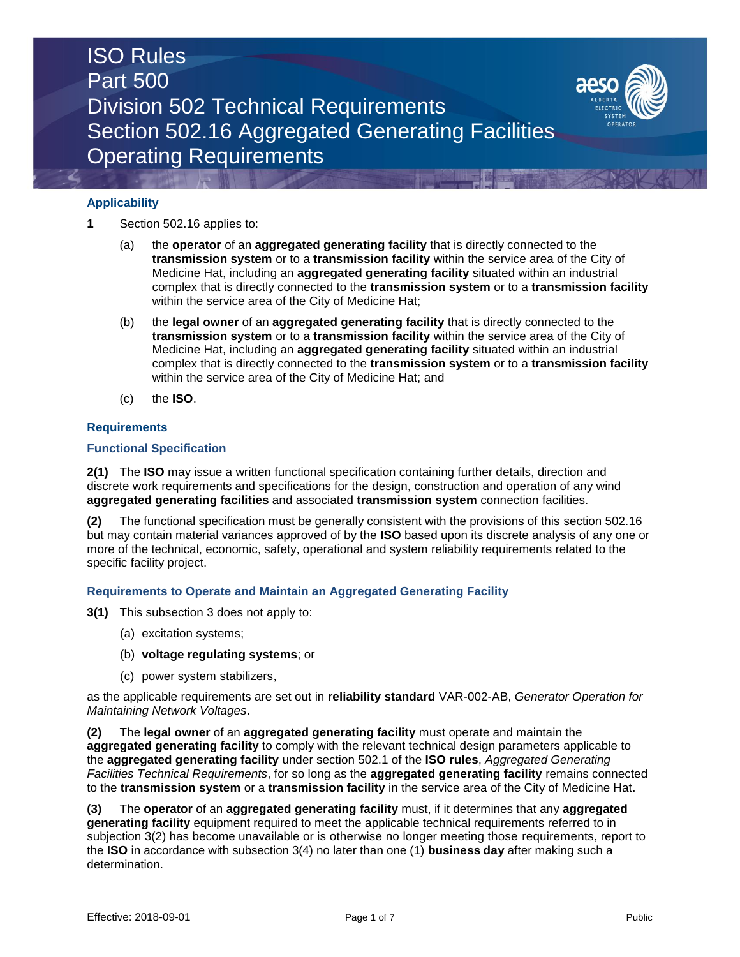# ISO Rules Part 500 Division 502 Technical Requirements Section 502.16 Aggregated Generating Facilities Operating Requirements

## **Applicability**

- **1** Section 502.16 applies to:
	- (a) the **operator** of an **aggregated generating facility** that is directly connected to the **transmission system** or to a **transmission facility** within the service area of the City of Medicine Hat, including an **aggregated generating facility** situated within an industrial complex that is directly connected to the **transmission system** or to a **transmission facility**  within the service area of the City of Medicine Hat;
	- (b) the **legal owner** of an **aggregated generating facility** that is directly connected to the **transmission system** or to a **transmission facility** within the service area of the City of Medicine Hat, including an **aggregated generating facility** situated within an industrial complex that is directly connected to the **transmission system** or to a **transmission facility**  within the service area of the City of Medicine Hat; and
	- (c) the **ISO**.

#### **Requirements**

#### **Functional Specification**

**2(1)** The **ISO** may issue a written functional specification containing further details, direction and discrete work requirements and specifications for the design, construction and operation of any wind **aggregated generating facilities** and associated **transmission system** connection facilities.

**(2)** The functional specification must be generally consistent with the provisions of this section 502.16 but may contain material variances approved of by the **ISO** based upon its discrete analysis of any one or more of the technical, economic, safety, operational and system reliability requirements related to the specific facility project.

#### **Requirements to Operate and Maintain an Aggregated Generating Facility**

- **3(1)** This subsection 3 does not apply to:
	- (a) excitation systems;
	- (b) **voltage regulating systems**; or
	- (c) power system stabilizers,

as the applicable requirements are set out in **reliability standard** VAR-002-AB, *Generator Operation for Maintaining Network Voltages*.

**(2)** The **legal owner** of an **aggregated generating facility** must operate and maintain the **aggregated generating facility** to comply with the relevant technical design parameters applicable to the **aggregated generating facility** under section 502.1 of the **ISO rules**, *Aggregated Generating Facilities Technical Requirements*, for so long as the **aggregated generating facility** remains connected to the **transmission system** or a **transmission facility** in the service area of the City of Medicine Hat.

**(3)** The **operator** of an **aggregated generating facility** must, if it determines that any **aggregated generating facility** equipment required to meet the applicable technical requirements referred to in subjection 3(2) has become unavailable or is otherwise no longer meeting those requirements, report to the **ISO** in accordance with subsection 3(4) no later than one (1) **business day** after making such a determination.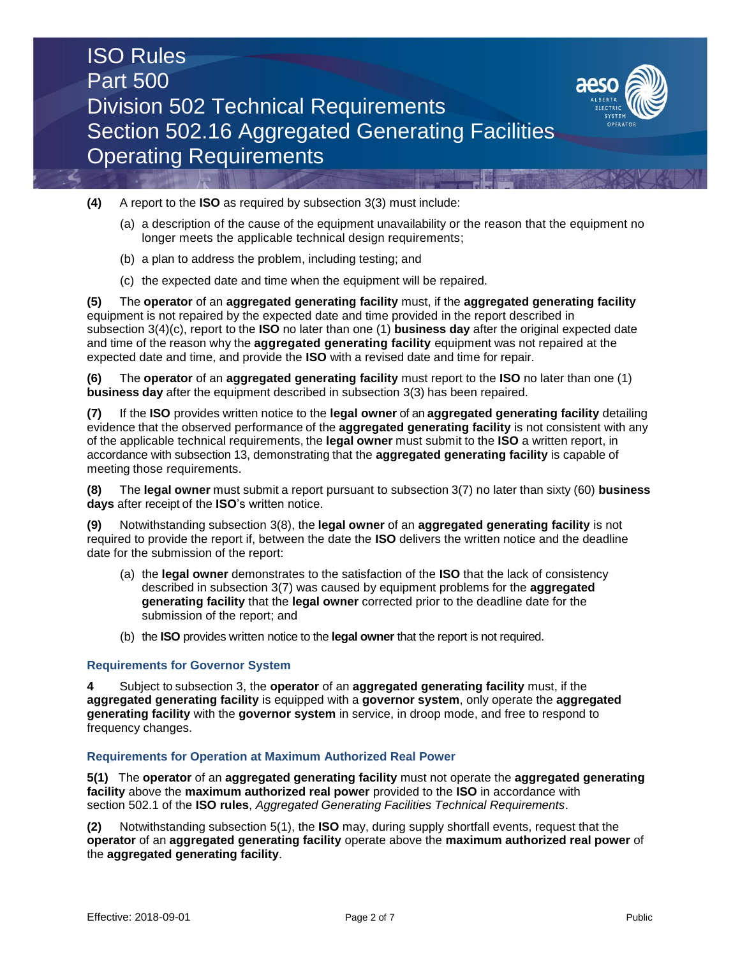



- **(4)** A report to the **ISO** as required by subsection 3(3) must include:
	- (a) a description of the cause of the equipment unavailability or the reason that the equipment no longer meets the applicable technical design requirements;
	- (b) a plan to address the problem, including testing; and
	- (c) the expected date and time when the equipment will be repaired.

**(5)** The **operator** of an **aggregated generating facility** must, if the **aggregated generating facility**  equipment is not repaired by the expected date and time provided in the report described in subsection 3(4)(c), report to the **ISO** no later than one (1) **business day** after the original expected date and time of the reason why the **aggregated generating facility** equipment was not repaired at the expected date and time, and provide the **ISO** with a revised date and time for repair.

**(6)** The **operator** of an **aggregated generating facility** must report to the **ISO** no later than one (1) **business day** after the equipment described in subsection 3(3) has been repaired.

**(7)** If the **ISO** provides written notice to the **legal owner** of an **aggregated generating facility** detailing evidence that the observed performance of the **aggregated generating facility** is not consistent with any of the applicable technical requirements, the **legal owner** must submit to the **ISO** a written report, in accordance with subsection 13, demonstrating that the **aggregated generating facility** is capable of meeting those requirements.

**(8)** The **legal owner** must submit a report pursuant to subsection 3(7) no later than sixty (60) **business days** after receipt of the **ISO**'s written notice.

**(9)** Notwithstanding subsection 3(8), the **legal owner** of an **aggregated generating facility** is not required to provide the report if, between the date the **ISO** delivers the written notice and the deadline date for the submission of the report:

- (a) the **legal owner** demonstrates to the satisfaction of the **ISO** that the lack of consistency described in subsection 3(7) was caused by equipment problems for the **aggregated generating facility** that the **legal owner** corrected prior to the deadline date for the submission of the report; and
- (b) the **ISO** provides written notice to the **legal owner** that the report is not required.

#### **Requirements for Governor System**

**4** Subject to subsection 3, the **operator** of an **aggregated generating facility** must, if the **aggregated generating facility** is equipped with a **governor system**, only operate the **aggregated generating facility** with the **governor system** in service, in droop mode, and free to respond to frequency changes.

#### **Requirements for Operation at Maximum Authorized Real Power**

**5(1)** The **operator** of an **aggregated generating facility** must not operate the **aggregated generating facility** above the **maximum authorized real power** provided to the **ISO** in accordance with section 502.1 of the **ISO rules**, *Aggregated Generating Facilities Technical Requirements*.

**(2)** Notwithstanding subsection 5(1), the **ISO** may, during supply shortfall events, request that the **operator** of an **aggregated generating facility** operate above the **maximum authorized real power** of the **aggregated generating facility**.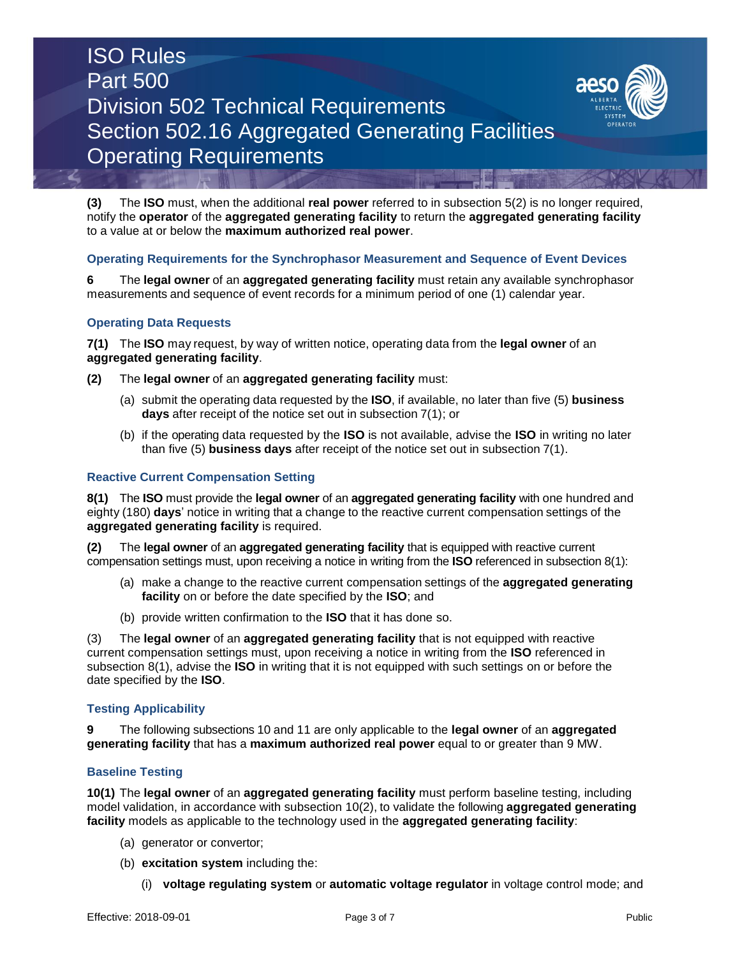## ISO Rules Part 500 Division 502 Technical Requirements Section 502.16 Aggregated Generating Facilities Operating Requirements



**(3)** The **ISO** must, when the additional **real power** referred to in subsection 5(2) is no longer required, notify the **operator** of the **aggregated generating facility** to return the **aggregated generating facility** to a value at or below the **maximum authorized real power**.

#### **Operating Requirements for the Synchrophasor Measurement and Sequence of Event Devices**

**6** The **legal owner** of an **aggregated generating facility** must retain any available synchrophasor measurements and sequence of event records for a minimum period of one (1) calendar year.

### **Operating Data Requests**

**7(1)** The **ISO** may request, by way of written notice, operating data from the **legal owner** of an **aggregated generating facility**.

- **(2)** The **legal owner** of an **aggregated generating facility** must:
	- (a) submit the operating data requested by the **ISO**, if available, no later than five (5) **business days** after receipt of the notice set out in subsection 7(1); or
	- (b) if the operating data requested by the **ISO** is not available, advise the **ISO** in writing no later than five (5) **business days** after receipt of the notice set out in subsection 7(1).

#### **Reactive Current Compensation Setting**

**8(1)** The **ISO** must provide the **legal owner** of an **aggregated generating facility** with one hundred and eighty (180) **days**' notice in writing that a change to the reactive current compensation settings of the **aggregated generating facility** is required.

**(2)** The **legal owner** of an **aggregated generating facility** that is equipped with reactive current compensation settings must, upon receiving a notice in writing from the **ISO** referenced in subsection 8(1):

- (a) make a change to the reactive current compensation settings of the **aggregated generating facility** on or before the date specified by the **ISO**; and
- (b) provide written confirmation to the **ISO** that it has done so.

(3) The **legal owner** of an **aggregated generating facility** that is not equipped with reactive current compensation settings must, upon receiving a notice in writing from the **ISO** referenced in subsection 8(1), advise the **ISO** in writing that it is not equipped with such settings on or before the date specified by the **ISO**.

#### **Testing Applicability**

**9** The following subsections 10 and 11 are only applicable to the **legal owner** of an **aggregated generating facility** that has a **maximum authorized real power** equal to or greater than 9 MW.

#### **Baseline Testing**

**10(1)** The **legal owner** of an **aggregated generating facility** must perform baseline testing, including model validation, in accordance with subsection 10(2), to validate the following **aggregated generating facility** models as applicable to the technology used in the **aggregated generating facility**:

- (a) generator or convertor;
- (b) **excitation system** including the:
	- (i) **voltage regulating system** or **automatic voltage regulator** in voltage control mode; and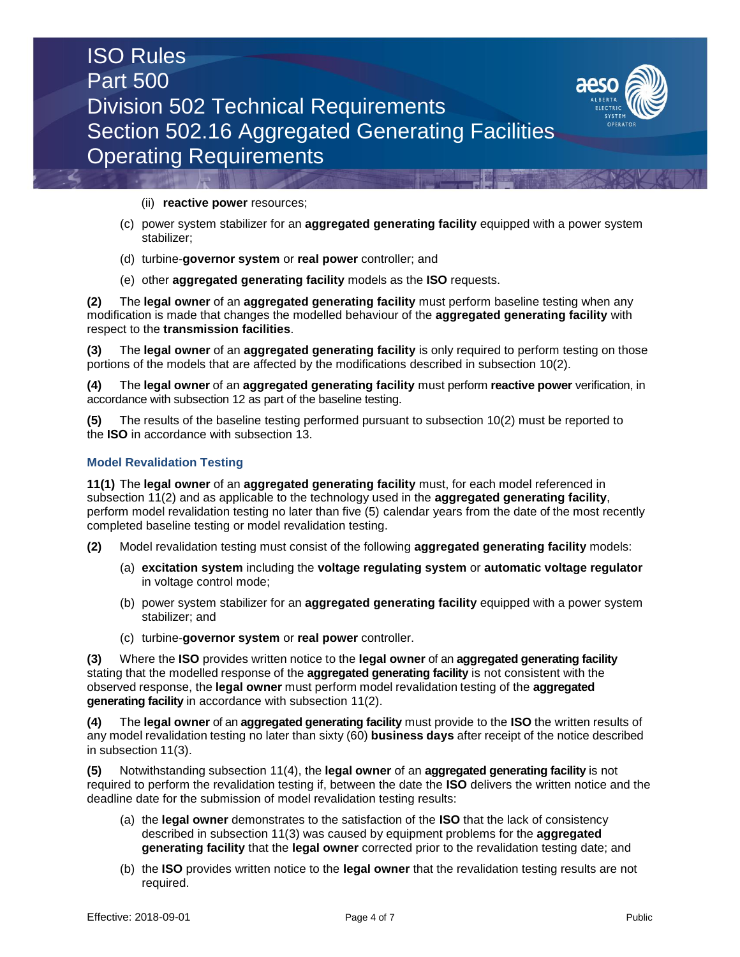

(ii) **reactive power** resources;

- (c) power system stabilizer for an **aggregated generating facility** equipped with a power system stabilizer;
- (d) turbine-**governor system** or **real power** controller; and
- (e) other **aggregated generating facility** models as the **ISO** requests.

**(2)** The **legal owner** of an **aggregated generating facility** must perform baseline testing when any modification is made that changes the modelled behaviour of the **aggregated generating facility** with respect to the **transmission facilities**.

**(3)** The **legal owner** of an **aggregated generating facility** is only required to perform testing on those portions of the models that are affected by the modifications described in subsection 10(2).

**(4)** The **legal owner** of an **aggregated generating facility** must perform **reactive power** verification, in accordance with subsection 12 as part of the baseline testing.

**(5)** The results of the baseline testing performed pursuant to subsection 10(2) must be reported to the **ISO** in accordance with subsection 13.

## **Model Revalidation Testing**

**11(1)** The **legal owner** of an **aggregated generating facility** must, for each model referenced in subsection 11(2) and as applicable to the technology used in the **aggregated generating facility**, perform model revalidation testing no later than five (5) calendar years from the date of the most recently completed baseline testing or model revalidation testing.

- **(2)** Model revalidation testing must consist of the following **aggregated generating facility** models:
	- (a) **excitation system** including the **voltage regulating system** or **automatic voltage regulator**  in voltage control mode;
	- (b) power system stabilizer for an **aggregated generating facility** equipped with a power system stabilizer; and
	- (c) turbine-**governor system** or **real power** controller.

**(3)** Where the **ISO** provides written notice to the **legal owner** of an **aggregated generating facility**  stating that the modelled response of the **aggregated generating facility** is not consistent with the observed response, the **legal owner** must perform model revalidation testing of the **aggregated generating facility** in accordance with subsection 11(2).

**(4)** The **legal owner** of an **aggregated generating facility** must provide to the **ISO** the written results of any model revalidation testing no later than sixty (60) **business days** after receipt of the notice described in subsection 11(3).

**(5)** Notwithstanding subsection 11(4), the **legal owner** of an **aggregated generating facility** is not required to perform the revalidation testing if, between the date the **ISO** delivers the written notice and the deadline date for the submission of model revalidation testing results:

- (a) the **legal owner** demonstrates to the satisfaction of the **ISO** that the lack of consistency described in subsection 11(3) was caused by equipment problems for the **aggregated generating facility** that the **legal owner** corrected prior to the revalidation testing date; and
- (b) the **ISO** provides written notice to the **legal owner** that the revalidation testing results are not required.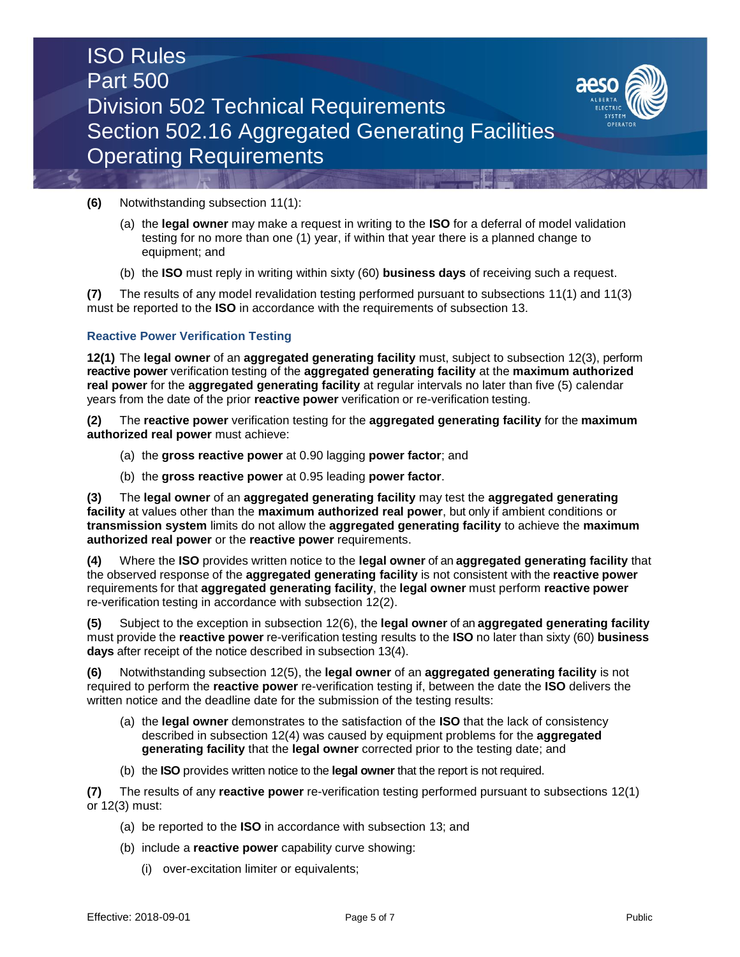



- (a) the **legal owner** may make a request in writing to the **ISO** for a deferral of model validation testing for no more than one (1) year, if within that year there is a planned change to equipment; and
- (b) the **ISO** must reply in writing within sixty (60) **business days** of receiving such a request.

**(7)** The results of any model revalidation testing performed pursuant to subsections 11(1) and 11(3) must be reported to the **ISO** in accordance with the requirements of subsection 13.

#### **Reactive Power Verification Testing**

**12(1)** The **legal owner** of an **aggregated generating facility** must, subject to subsection 12(3), perform **reactive power** verification testing of the **aggregated generating facility** at the **maximum authorized real power** for the **aggregated generating facility** at regular intervals no later than five (5) calendar years from the date of the prior **reactive power** verification or re-verification testing.

**(2)** The **reactive power** verification testing for the **aggregated generating facility** for the **maximum authorized real power** must achieve:

- (a) the **gross reactive power** at 0.90 lagging **power factor**; and
- (b) the **gross reactive power** at 0.95 leading **power factor**.

**(3)** The **legal owner** of an **aggregated generating facility** may test the **aggregated generating facility** at values other than the **maximum authorized real power**, but only if ambient conditions or **transmission system** limits do not allow the **aggregated generating facility** to achieve the **maximum authorized real power** or the **reactive power** requirements.

**(4)** Where the **ISO** provides written notice to the **legal owner** of an **aggregated generating facility** that the observed response of the **aggregated generating facility** is not consistent with the **reactive power** requirements for that **aggregated generating facility**, the **legal owner** must perform **reactive power** re-verification testing in accordance with subsection 12(2).

**(5)** Subject to the exception in subsection 12(6), the **legal owner** of an **aggregated generating facility**  must provide the **reactive power** re-verification testing results to the **ISO** no later than sixty (60) **business days** after receipt of the notice described in subsection 13(4).

**(6)** Notwithstanding subsection 12(5), the **legal owner** of an **aggregated generating facility** is not required to perform the **reactive power** re-verification testing if, between the date the **ISO** delivers the written notice and the deadline date for the submission of the testing results:

- (a) the **legal owner** demonstrates to the satisfaction of the **ISO** that the lack of consistency described in subsection 12(4) was caused by equipment problems for the **aggregated generating facility** that the **legal owner** corrected prior to the testing date; and
- (b) the **ISO** provides written notice to the **legal owner** that the report is not required.

**(7)** The results of any **reactive power** re-verification testing performed pursuant to subsections 12(1) or 12(3) must:

- (a) be reported to the **ISO** in accordance with subsection 13; and
- (b) include a **reactive power** capability curve showing:
	- (i) over-excitation limiter or equivalents;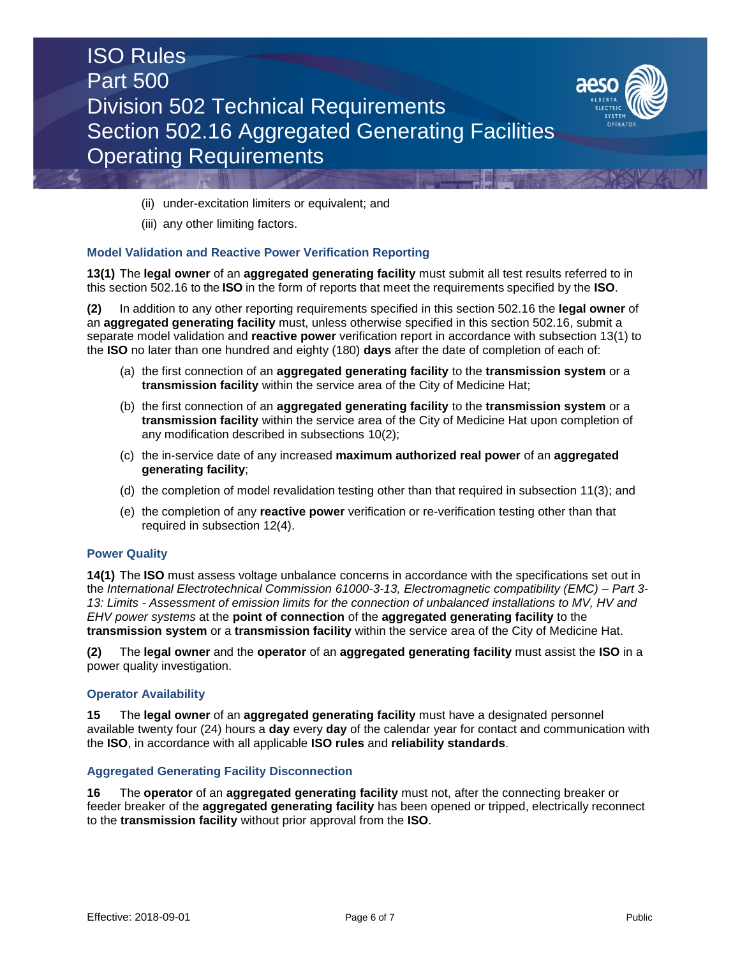



- (ii) under-excitation limiters or equivalent; and
- (iii) any other limiting factors.

#### **Model Validation and Reactive Power Verification Reporting**

**13(1)** The **legal owner** of an **aggregated generating facility** must submit all test results referred to in this section 502.16 to the **ISO** in the form of reports that meet the requirements specified by the **ISO**.

**(2)** In addition to any other reporting requirements specified in this section 502.16 the **legal owner** of an **aggregated generating facility** must, unless otherwise specified in this section 502.16, submit a separate model validation and **reactive power** verification report in accordance with subsection 13(1) to the **ISO** no later than one hundred and eighty (180) **days** after the date of completion of each of:

- (a) the first connection of an **aggregated generating facility** to the **transmission system** or a **transmission facility** within the service area of the City of Medicine Hat;
- (b) the first connection of an **aggregated generating facility** to the **transmission system** or a **transmission facility** within the service area of the City of Medicine Hat upon completion of any modification described in subsections 10(2);
- (c) the in-service date of any increased **maximum authorized real power** of an **aggregated generating facility**;
- (d) the completion of model revalidation testing other than that required in subsection 11(3); and
- (e) the completion of any **reactive power** verification or re-verification testing other than that required in subsection 12(4).

#### **Power Quality**

**14(1)** The **ISO** must assess voltage unbalance concerns in accordance with the specifications set out in the *International Electrotechnical Commission 61000-3-13, Electromagnetic compatibility (EMC) – Part 3- 13: Limits - Assessment of emission limits for the connection of unbalanced installations to MV, HV and EHV power systems* at the **point of connection** of the **aggregated generating facility** to the **transmission system** or a **transmission facility** within the service area of the City of Medicine Hat.

**(2)** The **legal owner** and the **operator** of an **aggregated generating facility** must assist the **ISO** in a power quality investigation.

#### **Operator Availability**

**15** The **legal owner** of an **aggregated generating facility** must have a designated personnel available twenty four (24) hours a **day** every **day** of the calendar year for contact and communication with the **ISO**, in accordance with all applicable **ISO rules** and **reliability standards**.

#### **Aggregated Generating Facility Disconnection**

**16** The **operator** of an **aggregated generating facility** must not, after the connecting breaker or feeder breaker of the **aggregated generating facility** has been opened or tripped, electrically reconnect to the **transmission facility** without prior approval from the **ISO**.